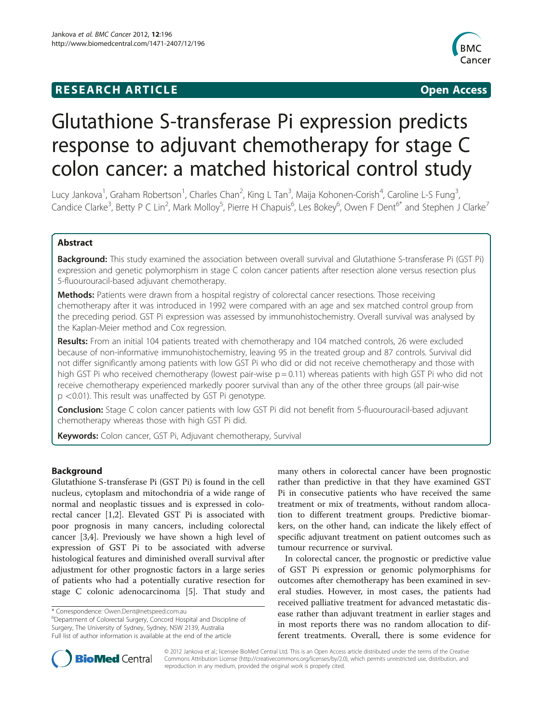## **RESEARCH ARTICLE Example 2018 12:00 Department of the Contract Open Access**



# Glutathione S-transferase Pi expression predicts response to adjuvant chemotherapy for stage C colon cancer: a matched historical control study

Lucy Jankova<sup>1</sup>, Graham Robertson<sup>1</sup>, Charles Chan<sup>2</sup>, King L Tan<sup>3</sup>, Maija Kohonen-Corish<sup>4</sup>, Caroline L-S Fung<sup>3</sup> , Candice Clarke<sup>3</sup>, Betty P C Lin<sup>2</sup>, Mark Molloy<sup>5</sup>, Pierre H Chapuis<sup>6</sup>, Les Bokey<sup>6</sup>, Owen F Dent<sup>6\*</sup> and Stephen J Clarke<sup>7</sup>

## Abstract

Background: This study examined the association between overall survival and Glutathione S-transferase Pi (GST Pi) expression and genetic polymorphism in stage C colon cancer patients after resection alone versus resection plus 5-fluourouracil-based adjuvant chemotherapy.

Methods: Patients were drawn from a hospital registry of colorectal cancer resections. Those receiving chemotherapy after it was introduced in 1992 were compared with an age and sex matched control group from the preceding period. GST Pi expression was assessed by immunohistochemistry. Overall survival was analysed by the Kaplan-Meier method and Cox regression.

Results: From an initial 104 patients treated with chemotherapy and 104 matched controls, 26 were excluded because of non-informative immunohistochemistry, leaving 95 in the treated group and 87 controls. Survival did not differ significantly among patients with low GST Pi who did or did not receive chemotherapy and those with high GST Pi who received chemotherapy (lowest pair-wise  $p = 0.11$ ) whereas patients with high GST Pi who did not receive chemotherapy experienced markedly poorer survival than any of the other three groups (all pair-wise p <0.01). This result was unaffected by GST Pi genotype.

Conclusion: Stage C colon cancer patients with low GST Pi did not benefit from 5-fluourouracil-based adjuvant chemotherapy whereas those with high GST Pi did.

Keywords: Colon cancer, GST Pi, Adjuvant chemotherapy, Survival

## Background

Glutathione S-transferase Pi (GST Pi) is found in the cell nucleus, cytoplasm and mitochondria of a wide range of normal and neoplastic tissues and is expressed in colorectal cancer [[1](#page-7-0),[2\]](#page-7-0). Elevated GST Pi is associated with poor prognosis in many cancers, including colorectal cancer [[3,4\]](#page-7-0). Previously we have shown a high level of expression of GST Pi to be associated with adverse histological features and diminished overall survival after adjustment for other prognostic factors in a large series of patients who had a potentially curative resection for stage C colonic adenocarcinoma [[5\]](#page-7-0). That study and

<sup>6</sup>Department of Colorectal Surgery, Concord Hospital and Discipline of Surgery, The University of Sydney, Sydney, NSW 2139, Australia Full list of author information is available at the end of the article

many others in colorectal cancer have been prognostic rather than predictive in that they have examined GST Pi in consecutive patients who have received the same treatment or mix of treatments, without random allocation to different treatment groups. Predictive biomarkers, on the other hand, can indicate the likely effect of specific adjuvant treatment on patient outcomes such as tumour recurrence or survival.

In colorectal cancer, the prognostic or predictive value of GST Pi expression or genomic polymorphisms for outcomes after chemotherapy has been examined in several studies. However, in most cases, the patients had received palliative treatment for advanced metastatic disease rather than adjuvant treatment in earlier stages and in most reports there was no random allocation to different treatments. Overall, there is some evidence for



© 2012 Jankova et al.; licensee BioMed Central Ltd. This is an Open Access article distributed under the terms of the Creative Commons Attribution License [\(http://creativecommons.org/licenses/by/2.0\)](http://creativecommons.org/licenses/by/2.0), which permits unrestricted use, distribution, and reproduction in any medium, provided the original work is properly cited.

<sup>\*</sup> Correspondence: [Owen.Dent@netspeed.com.au](mailto:Owen.Dent@netspeed.com.au) <sup>6</sup>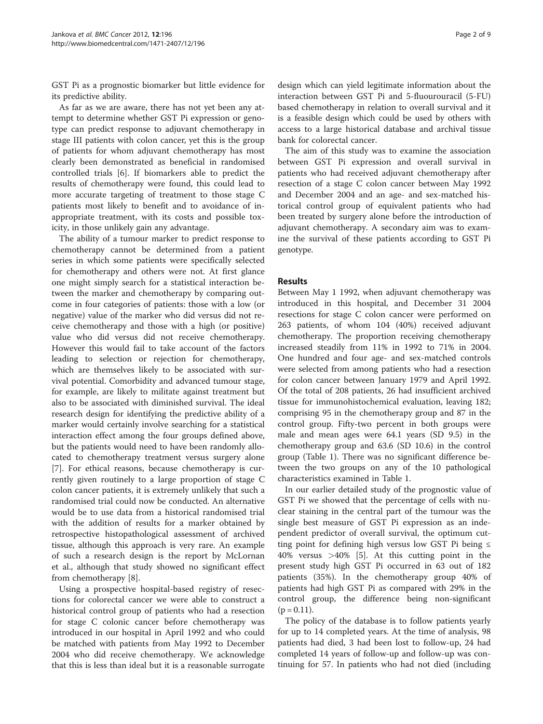GST Pi as a prognostic biomarker but little evidence for its predictive ability.

As far as we are aware, there has not yet been any attempt to determine whether GST Pi expression or genotype can predict response to adjuvant chemotherapy in stage III patients with colon cancer, yet this is the group of patients for whom adjuvant chemotherapy has most clearly been demonstrated as beneficial in randomised controlled trials [[6\]](#page-7-0). If biomarkers able to predict the results of chemotherapy were found, this could lead to more accurate targeting of treatment to those stage C patients most likely to benefit and to avoidance of inappropriate treatment, with its costs and possible toxicity, in those unlikely gain any advantage.

The ability of a tumour marker to predict response to chemotherapy cannot be determined from a patient series in which some patients were specifically selected for chemotherapy and others were not. At first glance one might simply search for a statistical interaction between the marker and chemotherapy by comparing outcome in four categories of patients: those with a low (or negative) value of the marker who did versus did not receive chemotherapy and those with a high (or positive) value who did versus did not receive chemotherapy. However this would fail to take account of the factors leading to selection or rejection for chemotherapy, which are themselves likely to be associated with survival potential. Comorbidity and advanced tumour stage, for example, are likely to militate against treatment but also to be associated with diminished survival. The ideal research design for identifying the predictive ability of a marker would certainly involve searching for a statistical interaction effect among the four groups defined above, but the patients would need to have been randomly allocated to chemotherapy treatment versus surgery alone [[7\]](#page-7-0). For ethical reasons, because chemotherapy is currently given routinely to a large proportion of stage C colon cancer patients, it is extremely unlikely that such a randomised trial could now be conducted. An alternative would be to use data from a historical randomised trial with the addition of results for a marker obtained by retrospective histopathological assessment of archived tissue, although this approach is very rare. An example of such a research design is the report by McLornan et al., although that study showed no significant effect from chemotherapy [[8](#page-7-0)].

Using a prospective hospital-based registry of resections for colorectal cancer we were able to construct a historical control group of patients who had a resection for stage C colonic cancer before chemotherapy was introduced in our hospital in April 1992 and who could be matched with patients from May 1992 to December 2004 who did receive chemotherapy. We acknowledge that this is less than ideal but it is a reasonable surrogate

design which can yield legitimate information about the interaction between GST Pi and 5-fluourouracil (5-FU) based chemotherapy in relation to overall survival and it is a feasible design which could be used by others with access to a large historical database and archival tissue bank for colorectal cancer.

The aim of this study was to examine the association between GST Pi expression and overall survival in patients who had received adjuvant chemotherapy after resection of a stage C colon cancer between May 1992 and December 2004 and an age- and sex-matched historical control group of equivalent patients who had been treated by surgery alone before the introduction of adjuvant chemotherapy. A secondary aim was to examine the survival of these patients according to GST Pi genotype.

#### Results

Between May 1 1992, when adjuvant chemotherapy was introduced in this hospital, and December 31 2004 resections for stage C colon cancer were performed on 263 patients, of whom 104 (40%) received adjuvant chemotherapy. The proportion receiving chemotherapy increased steadily from 11% in 1992 to 71% in 2004. One hundred and four age- and sex-matched controls were selected from among patients who had a resection for colon cancer between January 1979 and April 1992. Of the total of 208 patients, 26 had insufficient archived tissue for immunohistochemical evaluation, leaving 182; comprising 95 in the chemotherapy group and 87 in the control group. Fifty-two percent in both groups were male and mean ages were 64.1 years (SD 9.5) in the chemotherapy group and 63.6 (SD 10.6) in the control group (Table [1](#page-2-0)). There was no significant difference between the two groups on any of the 10 pathological characteristics examined in Table [1.](#page-2-0)

In our earlier detailed study of the prognostic value of GST Pi we showed that the percentage of cells with nuclear staining in the central part of the tumour was the single best measure of GST Pi expression as an independent predictor of overall survival, the optimum cutting point for defining high versus low GST Pi being ≤ 40% versus  $>40\%$  [[5\]](#page-7-0). At this cutting point in the present study high GST Pi occurred in 63 out of 182 patients (35%). In the chemotherapy group 40% of patients had high GST Pi as compared with 29% in the control group, the difference being non-significant  $(p = 0.11)$ .

The policy of the database is to follow patients yearly for up to 14 completed years. At the time of analysis, 98 patients had died, 3 had been lost to follow-up, 24 had completed 14 years of follow-up and follow-up was continuing for 57. In patients who had not died (including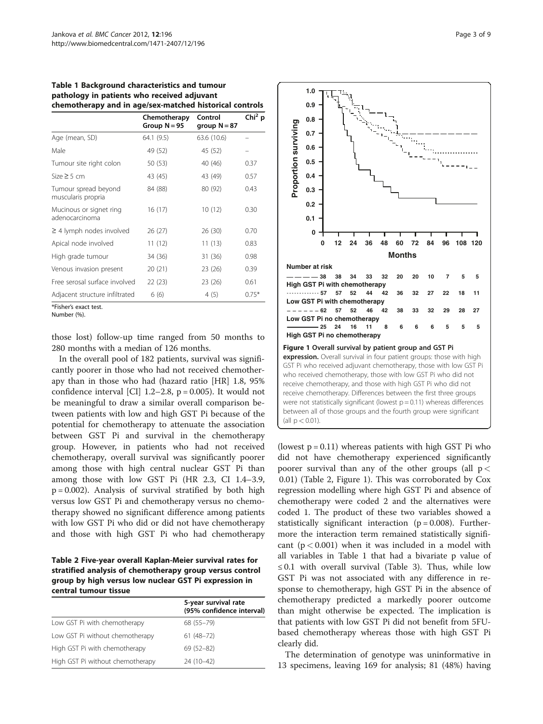| chemotherapy and in age/sex-matched historical controls |                                |                           |                    |  |  |
|---------------------------------------------------------|--------------------------------|---------------------------|--------------------|--|--|
|                                                         | Chemotherapy<br>Group $N = 95$ | Control<br>group $N = 87$ | Chi <sup>2</sup> p |  |  |
| Age (mean, SD)                                          | 64.1 (9.5)                     | 63.6 (10.6)               |                    |  |  |
| Male                                                    | 49 (52)                        | 45 (52)                   |                    |  |  |
| Tumour site right colon                                 | 50 (53)                        | 40 (46)                   | 0.37               |  |  |
| Size $\geq$ 5 cm                                        | 43 (45)                        | 43 (49)                   | 0.57               |  |  |
| Tumour spread beyond<br>muscularis propria              | 84 (88)                        | 80 (92)                   | 0.43               |  |  |
| Mucinous or signet ring<br>adenocarcinoma               | 16(17)                         | 10(12)                    | 0.30               |  |  |
| $\geq$ 4 lymph nodes involved                           | 26(27)                         | 26(30)                    | 0.70               |  |  |
| Apical node involved                                    | 11(12)                         | 11(13)                    | 0.83               |  |  |
| High grade tumour                                       | 34 (36)                        | 31 (36)                   | 0.98               |  |  |
| Venous invasion present                                 | 20(21)                         | 23(26)                    | 0.39               |  |  |
| Free serosal surface involved                           | 22 (23)                        | 23(26)                    | 0.61               |  |  |
| Adjacent structure infiltrated                          | 6(6)                           | 4 (5)                     | $0.75*$            |  |  |

<span id="page-2-0"></span>Table 1 Background characteristics and tumour pathology in patients who received adjuvant

\*Fisher's exact test.

Number (%).

those lost) follow-up time ranged from 50 months to 280 months with a median of 126 months.

In the overall pool of 182 patients, survival was significantly poorer in those who had not received chemotherapy than in those who had (hazard ratio [HR] 1.8, 95% confidence interval  $\begin{bmatrix} \text{CI} \end{bmatrix}$  1.2–2.8, p = 0.005). It would not be meaningful to draw a similar overall comparison between patients with low and high GST Pi because of the potential for chemotherapy to attenuate the association between GST Pi and survival in the chemotherapy group. However, in patients who had not received chemotherapy, overall survival was significantly poorer among those with high central nuclear GST Pi than among those with low GST Pi (HR 2.3, CI 1.4–3.9,  $p = 0.002$ ). Analysis of survival stratified by both high versus low GST Pi and chemotherapy versus no chemotherapy showed no significant difference among patients with low GST Pi who did or did not have chemotherapy and those with high GST Pi who had chemotherapy

Table 2 Five-year overall Kaplan-Meier survival rates for stratified analysis of chemotherapy group versus control group by high versus low nuclear GST Pi expression in central tumour tissue

|                                  | 5-year survival rate<br>(95% confidence interval) |
|----------------------------------|---------------------------------------------------|
| Low GST Pi with chemotherapy     | 68 (55 - 79)                                      |
| Low GST Pi without chemotherapy  | $61(48-72)$                                       |
| High GST Pi with chemotherapy    | $69(52 - 82)$                                     |
| High GST Pi without chemotherapy | $24(10-42)$                                       |



(lowest  $p = 0.11$ ) whereas patients with high GST Pi who did not have chemotherapy experienced significantly poorer survival than any of the other groups (all  $p <$ 0.01) (Table 2, Figure 1). This was corroborated by Cox regression modelling where high GST Pi and absence of chemotherapy were coded 2 and the alternatives were coded 1. The product of these two variables showed a statistically significant interaction ( $p = 0.008$ ). Furthermore the interaction term remained statistically significant  $(p < 0.001)$  when it was included in a model with all variables in Table 1 that had a bivariate p value of  $\leq$  0.1 with overall survival (Table [3\)](#page-3-0). Thus, while low GST Pi was not associated with any difference in response to chemotherapy, high GST Pi in the absence of chemotherapy predicted a markedly poorer outcome than might otherwise be expected. The implication is that patients with low GST Pi did not benefit from 5FUbased chemotherapy whereas those with high GST Pi clearly did.

The determination of genotype was uninformative in 13 specimens, leaving 169 for analysis; 81 (48%) having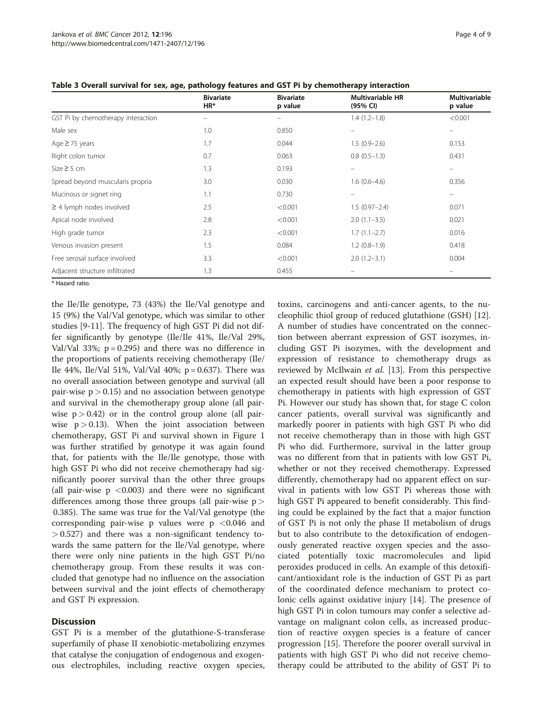|                                    | <b>Bivariate</b><br>$HR*$ | <b>Bivariate</b><br>p value | Multivariable HR<br>(95% CI) | <b>Multivariable</b><br>p value |
|------------------------------------|---------------------------|-----------------------------|------------------------------|---------------------------------|
| GST Pi by chemotherapy interaction |                           |                             | $1.4(1.2-1.8)$               | < 0.001                         |
| Male sex                           | 1.0                       | 0.850                       |                              | $\qquad \qquad \longleftarrow$  |
| Age $\geq$ 75 years                | 1.7                       | 0.044                       | $1.5(0.9-2.6)$               | 0.153                           |
| Right colon tumor                  | 0.7                       | 0.063                       | $0.8(0.5-1.3)$               | 0.431                           |
| Size $\geq$ 5 cm                   | 1.3                       | 0.193                       |                              | -                               |
| Spread beyond muscularis propria   | 3.0                       | 0.030                       | $1.6(0.6-4.6)$               | 0.356                           |
| Mucinous or signet ring            | 1.1                       | 0.730                       |                              |                                 |
| $\geq$ 4 lymph nodes involved      | 2.5                       | < 0.001                     | $1.5(0.97 - 2.4)$            | 0.071                           |
| Apical node involved               | 2.8                       | < 0.001                     | $2.0(1.1-3.5)$               | 0.021                           |
| High grade tumor                   | 2.3                       | < 0.001                     | $1.7(1.1-2.7)$               | 0.016                           |
| Venous invasion present            | 1.5                       | 0.084                       | $1.2(0.8-1.9)$               | 0.418                           |
| Free serosal surface involved      | 3.3                       | < 0.001                     | $2.0(1.2 - 3.1)$             | 0.004                           |
| Adjacent structure infiltrated     | 1.3                       | 0.455                       |                              |                                 |

<span id="page-3-0"></span>

| Table 3 Overall survival for sex, age, pathology features and GST Pi by chemotherapy interaction |  |  |
|--------------------------------------------------------------------------------------------------|--|--|
|--------------------------------------------------------------------------------------------------|--|--|

\* Hazard ratio.

the Ile/Ile genotype, 73 (43%) the Ile/Val genotype and 15 (9%) the Val/Val genotype, which was similar to other studies [[9-11](#page-7-0)]. The frequency of high GST Pi did not differ significantly by genotype (Ile/Ile 41%, Ile/Val 29%, Val/Val 33%;  $p = 0.295$ ) and there was no difference in the proportions of patients receiving chemotherapy (Ile/ Ile 44%, Ile/Val 51%, Val/Val 40%;  $p = 0.637$ ). There was no overall association between genotype and survival (all pair-wise  $p > 0.15$ ) and no association between genotype and survival in the chemotherapy group alone (all pairwise  $p > 0.42$ ) or in the control group alone (all pairwise  $p > 0.13$ ). When the joint association between chemotherapy, GST Pi and survival shown in Figure [1](#page-2-0) was further stratified by genotype it was again found that, for patients with the Ile/Ile genotype, those with high GST Pi who did not receive chemotherapy had significantly poorer survival than the other three groups (all pair-wise  $p \leq 0.003$ ) and there were no significant differences among those three groups (all pair-wise p > 0.385). The same was true for the Val/Val genotype (the corresponding pair-wise p values were  $p < 0.046$  and  $> 0.527$ ) and there was a non-significant tendency towards the same pattern for the Ile/Val genotype, where there were only nine patients in the high GST Pi/no chemotherapy group. From these results it was concluded that genotype had no influence on the association between survival and the joint effects of chemotherapy and GST Pi expression.

### **Discussion**

GST Pi is a member of the glutathione-S-transferase superfamily of phase II xenobiotic-metabolizing enzymes that catalyse the conjugation of endogenous and exogenous electrophiles, including reactive oxygen species,

toxins, carcinogens and anti-cancer agents, to the nucleophilic thiol group of reduced glutathione (GSH) [\[12](#page-7-0)]. A number of studies have concentrated on the connection between aberrant expression of GST isozymes, including GST Pi isozymes, with the development and expression of resistance to chemotherapy drugs as reviewed by McIlwain et al. [\[13\]](#page-8-0). From this perspective an expected result should have been a poor response to chemotherapy in patients with high expression of GST Pi. However our study has shown that, for stage C colon cancer patients, overall survival was significantly and markedly poorer in patients with high GST Pi who did not receive chemotherapy than in those with high GST Pi who did. Furthermore, survival in the latter group was no different from that in patients with low GST Pi, whether or not they received chemotherapy. Expressed differently, chemotherapy had no apparent effect on survival in patients with low GST Pi whereas those with high GST Pi appeared to benefit considerably. This finding could be explained by the fact that a major function of GST Pi is not only the phase II metabolism of drugs but to also contribute to the detoxification of endogenously generated reactive oxygen species and the associated potentially toxic macromolecules and lipid peroxides produced in cells. An example of this detoxificant/antioxidant role is the induction of GST Pi as part of the coordinated defence mechanism to protect colonic cells against oxidative injury [[14\]](#page-8-0). The presence of high GST Pi in colon tumours may confer a selective advantage on malignant colon cells, as increased production of reactive oxygen species is a feature of cancer progression [\[15](#page-8-0)]. Therefore the poorer overall survival in patients with high GST Pi who did not receive chemotherapy could be attributed to the ability of GST Pi to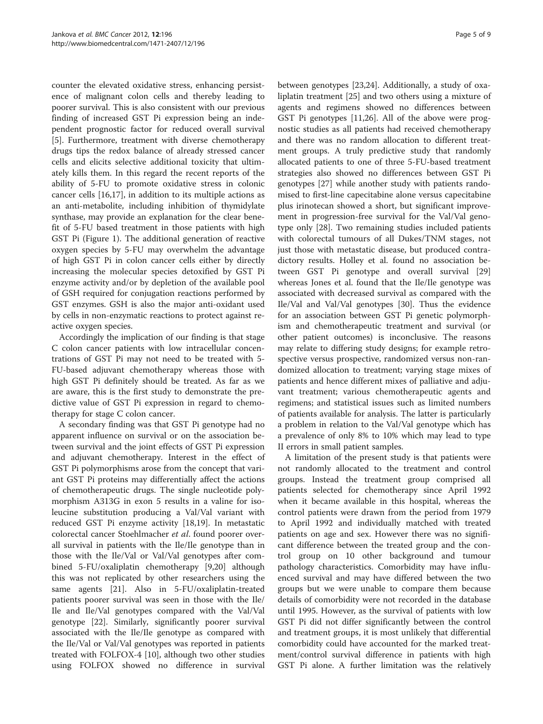counter the elevated oxidative stress, enhancing persistence of malignant colon cells and thereby leading to poorer survival. This is also consistent with our previous finding of increased GST Pi expression being an independent prognostic factor for reduced overall survival [[5\]](#page-7-0). Furthermore, treatment with diverse chemotherapy drugs tips the redox balance of already stressed cancer cells and elicits selective additional toxicity that ultimately kills them. In this regard the recent reports of the ability of 5-FU to promote oxidative stress in colonic cancer cells [[16](#page-8-0),[17](#page-8-0)], in addition to its multiple actions as an anti-metabolite, including inhibition of thymidylate synthase, may provide an explanation for the clear benefit of 5-FU based treatment in those patients with high GST Pi (Figure [1](#page-2-0)). The additional generation of reactive oxygen species by 5-FU may overwhelm the advantage of high GST Pi in colon cancer cells either by directly increasing the molecular species detoxified by GST Pi enzyme activity and/or by depletion of the available pool of GSH required for conjugation reactions performed by GST enzymes. GSH is also the major anti-oxidant used by cells in non-enzymatic reactions to protect against reactive oxygen species.

Accordingly the implication of our finding is that stage C colon cancer patients with low intracellular concentrations of GST Pi may not need to be treated with 5- FU-based adjuvant chemotherapy whereas those with high GST Pi definitely should be treated. As far as we are aware, this is the first study to demonstrate the predictive value of GST Pi expression in regard to chemotherapy for stage C colon cancer.

A secondary finding was that GST Pi genotype had no apparent influence on survival or on the association between survival and the joint effects of GST Pi expression and adjuvant chemotherapy. Interest in the effect of GST Pi polymorphisms arose from the concept that variant GST Pi proteins may differentially affect the actions of chemotherapeutic drugs. The single nucleotide polymorphism A313G in exon 5 results in a valine for isoleucine substitution producing a Val/Val variant with reduced GST Pi enzyme activity [\[18,19](#page-8-0)]. In metastatic colorectal cancer Stoehlmacher et al. found poorer overall survival in patients with the Ile/Ile genotype than in those with the Ile/Val or Val/Val genotypes after combined 5-FU/oxaliplatin chemotherapy [[9,](#page-7-0)[20\]](#page-8-0) although this was not replicated by other researchers using the same agents [[21\]](#page-8-0). Also in 5-FU/oxaliplatin-treated patients poorer survival was seen in those with the Ile/ Ile and Ile/Val genotypes compared with the Val/Val genotype [\[22](#page-8-0)]. Similarly, significantly poorer survival associated with the Ile/Ile genotype as compared with the Ile/Val or Val/Val genotypes was reported in patients treated with FOLFOX-4 [[10\]](#page-7-0), although two other studies using FOLFOX showed no difference in survival

between genotypes [\[23,24](#page-8-0)]. Additionally, a study of oxaliplatin treatment [\[25](#page-8-0)] and two others using a mixture of agents and regimens showed no differences between GST Pi genotypes [\[11,](#page-7-0)[26\]](#page-8-0). All of the above were prognostic studies as all patients had received chemotherapy and there was no random allocation to different treatment groups. A truly predictive study that randomly allocated patients to one of three 5-FU-based treatment strategies also showed no differences between GST Pi genotypes [[27\]](#page-8-0) while another study with patients randomised to first-line capecitabine alone versus capecitabine plus irinotecan showed a short, but significant improvement in progression-free survival for the Val/Val genotype only [[28\]](#page-8-0). Two remaining studies included patients with colorectal tumours of all Dukes/TNM stages, not just those with metastatic disease, but produced contradictory results. Holley et al. found no association between GST Pi genotype and overall survival [[29](#page-8-0)] whereas Jones et al. found that the Ile/Ile genotype was associated with decreased survival as compared with the Ile/Val and Val/Val genotypes [[30\]](#page-8-0). Thus the evidence for an association between GST Pi genetic polymorphism and chemotherapeutic treatment and survival (or other patient outcomes) is inconclusive. The reasons may relate to differing study designs; for example retrospective versus prospective, randomized versus non-randomized allocation to treatment; varying stage mixes of patients and hence different mixes of palliative and adjuvant treatment; various chemotherapeutic agents and regimens; and statistical issues such as limited numbers of patients available for analysis. The latter is particularly a problem in relation to the Val/Val genotype which has a prevalence of only 8% to 10% which may lead to type II errors in small patient samples.

A limitation of the present study is that patients were not randomly allocated to the treatment and control groups. Instead the treatment group comprised all patients selected for chemotherapy since April 1992 when it became available in this hospital, whereas the control patients were drawn from the period from 1979 to April 1992 and individually matched with treated patients on age and sex. However there was no significant difference between the treated group and the control group on 10 other background and tumour pathology characteristics. Comorbidity may have influenced survival and may have differed between the two groups but we were unable to compare them because details of comorbidity were not recorded in the database until 1995. However, as the survival of patients with low GST Pi did not differ significantly between the control and treatment groups, it is most unlikely that differential comorbidity could have accounted for the marked treatment/control survival difference in patients with high GST Pi alone. A further limitation was the relatively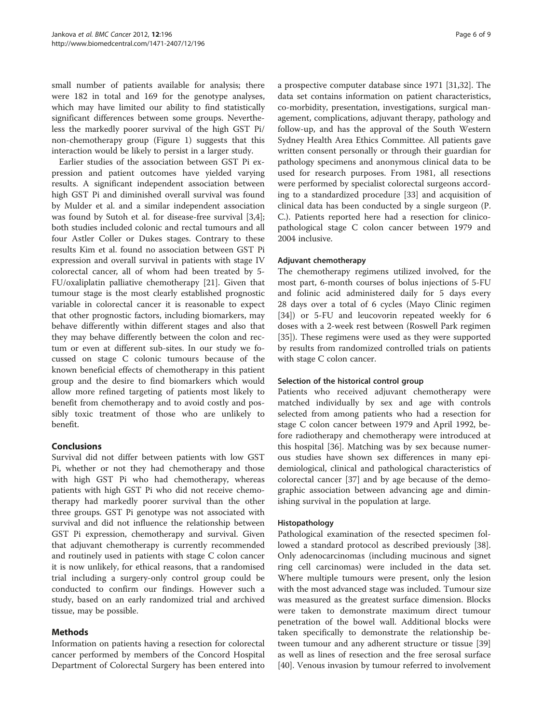small number of patients available for analysis; there were 182 in total and 169 for the genotype analyses, which may have limited our ability to find statistically significant differences between some groups. Nevertheless the markedly poorer survival of the high GST Pi/ non-chemotherapy group (Figure [1](#page-2-0)) suggests that this interaction would be likely to persist in a larger study.

Earlier studies of the association between GST Pi expression and patient outcomes have yielded varying results. A significant independent association between high GST Pi and diminished overall survival was found by Mulder et al. and a similar independent association was found by Sutoh et al. for disease-free survival [\[3,4](#page-7-0)]; both studies included colonic and rectal tumours and all four Astler Coller or Dukes stages. Contrary to these results Kim et al. found no association between GST Pi expression and overall survival in patients with stage IV colorectal cancer, all of whom had been treated by 5- FU/oxaliplatin palliative chemotherapy [\[21](#page-8-0)]. Given that tumour stage is the most clearly established prognostic variable in colorectal cancer it is reasonable to expect that other prognostic factors, including biomarkers, may behave differently within different stages and also that they may behave differently between the colon and rectum or even at different sub-sites. In our study we focussed on stage C colonic tumours because of the known beneficial effects of chemotherapy in this patient group and the desire to find biomarkers which would allow more refined targeting of patients most likely to benefit from chemotherapy and to avoid costly and possibly toxic treatment of those who are unlikely to benefit.

## Conclusions

Survival did not differ between patients with low GST Pi, whether or not they had chemotherapy and those with high GST Pi who had chemotherapy, whereas patients with high GST Pi who did not receive chemotherapy had markedly poorer survival than the other three groups. GST Pi genotype was not associated with survival and did not influence the relationship between GST Pi expression, chemotherapy and survival. Given that adjuvant chemotherapy is currently recommended and routinely used in patients with stage C colon cancer it is now unlikely, for ethical reasons, that a randomised trial including a surgery-only control group could be conducted to confirm our findings. However such a study, based on an early randomized trial and archived tissue, may be possible.

## Methods

Information on patients having a resection for colorectal cancer performed by members of the Concord Hospital Department of Colorectal Surgery has been entered into a prospective computer database since 1971 [\[31,32\]](#page-8-0). The data set contains information on patient characteristics, co-morbidity, presentation, investigations, surgical management, complications, adjuvant therapy, pathology and follow-up, and has the approval of the South Western Sydney Health Area Ethics Committee. All patients gave written consent personally or through their guardian for pathology specimens and anonymous clinical data to be used for research purposes. From 1981, all resections were performed by specialist colorectal surgeons according to a standardized procedure [\[33](#page-8-0)] and acquisition of clinical data has been conducted by a single surgeon (P. C.). Patients reported here had a resection for clinicopathological stage C colon cancer between 1979 and 2004 inclusive.

#### Adjuvant chemotherapy

The chemotherapy regimens utilized involved, for the most part, 6-month courses of bolus injections of 5-FU and folinic acid administered daily for 5 days every 28 days over a total of 6 cycles (Mayo Clinic regimen [[34\]](#page-8-0)) or 5-FU and leucovorin repeated weekly for 6 doses with a 2-week rest between (Roswell Park regimen [[35\]](#page-8-0)). These regimens were used as they were supported by results from randomized controlled trials on patients with stage C colon cancer.

#### Selection of the historical control group

Patients who received adjuvant chemotherapy were matched individually by sex and age with controls selected from among patients who had a resection for stage C colon cancer between 1979 and April 1992, before radiotherapy and chemotherapy were introduced at this hospital [\[36](#page-8-0)]. Matching was by sex because numerous studies have shown sex differences in many epidemiological, clinical and pathological characteristics of colorectal cancer [[37\]](#page-8-0) and by age because of the demographic association between advancing age and diminishing survival in the population at large.

#### Histopathology

Pathological examination of the resected specimen followed a standard protocol as described previously [\[38](#page-8-0)]. Only adenocarcinomas (including mucinous and signet ring cell carcinomas) were included in the data set. Where multiple tumours were present, only the lesion with the most advanced stage was included. Tumour size was measured as the greatest surface dimension. Blocks were taken to demonstrate maximum direct tumour penetration of the bowel wall. Additional blocks were taken specifically to demonstrate the relationship between tumour and any adherent structure or tissue [[39](#page-8-0)] as well as lines of resection and the free serosal surface [[40\]](#page-8-0). Venous invasion by tumour referred to involvement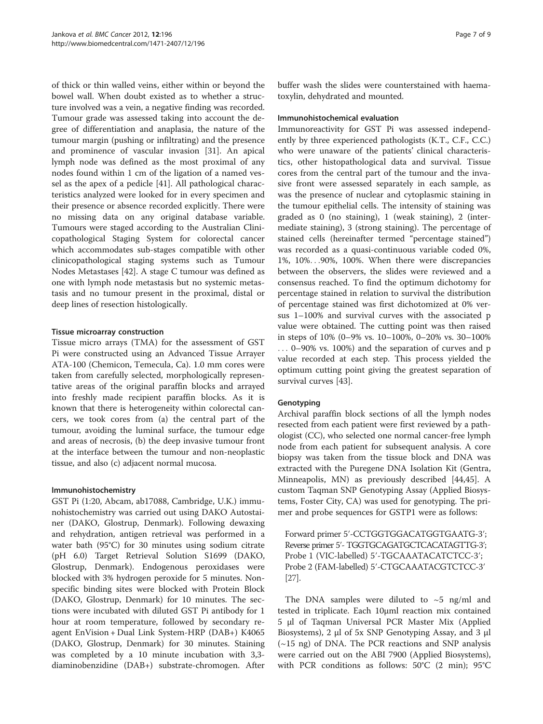of thick or thin walled veins, either within or beyond the bowel wall. When doubt existed as to whether a structure involved was a vein, a negative finding was recorded. Tumour grade was assessed taking into account the degree of differentiation and anaplasia, the nature of the tumour margin (pushing or infiltrating) and the presence and prominence of vascular invasion [[31\]](#page-8-0). An apical lymph node was defined as the most proximal of any nodes found within 1 cm of the ligation of a named vessel as the apex of a pedicle [\[41\]](#page-8-0). All pathological characteristics analyzed were looked for in every specimen and their presence or absence recorded explicitly. There were no missing data on any original database variable. Tumours were staged according to the Australian Clinicopathological Staging System for colorectal cancer which accommodates sub-stages compatible with other clinicopathological staging systems such as Tumour Nodes Metastases [\[42](#page-8-0)]. A stage C tumour was defined as one with lymph node metastasis but no systemic metastasis and no tumour present in the proximal, distal or deep lines of resection histologically.

## Tissue microarray construction

Tissue micro arrays (TMA) for the assessment of GST Pi were constructed using an Advanced Tissue Arrayer ATA-100 (Chemicon, Temecula, Ca). 1.0 mm cores were taken from carefully selected, morphologically representative areas of the original paraffin blocks and arrayed into freshly made recipient paraffin blocks. As it is known that there is heterogeneity within colorectal cancers, we took cores from (a) the central part of the tumour, avoiding the luminal surface, the tumour edge and areas of necrosis, (b) the deep invasive tumour front at the interface between the tumour and non-neoplastic tissue, and also (c) adjacent normal mucosa.

## Immunohistochemistry

GST Pi (1:20, Abcam, ab17088, Cambridge, U.K.) immunohistochemistry was carried out using DAKO Autostainer (DAKO, Glostrup, Denmark). Following dewaxing and rehydration, antigen retrieval was performed in a water bath (95°C) for 30 minutes using sodium citrate (pH 6.0) Target Retrieval Solution S1699 (DAKO, Glostrup, Denmark). Endogenous peroxidases were blocked with 3% hydrogen peroxide for 5 minutes. Nonspecific binding sites were blocked with Protein Block (DAKO, Glostrup, Denmark) for 10 minutes. The sections were incubated with diluted GST Pi antibody for 1 hour at room temperature, followed by secondary reagent EnVision + Dual Link System-HRP (DAB+) K4065 (DAKO, Glostrup, Denmark) for 30 minutes. Staining was completed by a 10 minute incubation with 3,3 diaminobenzidine (DAB+) substrate-chromogen. After buffer wash the slides were counterstained with haematoxylin, dehydrated and mounted.

## Immunohistochemical evaluation

Immunoreactivity for GST Pi was assessed independently by three experienced pathologists (K.T., C.F., C.C.) who were unaware of the patients' clinical characteristics, other histopathological data and survival. Tissue cores from the central part of the tumour and the invasive front were assessed separately in each sample, as was the presence of nuclear and cytoplasmic staining in the tumour epithelial cells. The intensity of staining was graded as 0 (no staining), 1 (weak staining), 2 (intermediate staining), 3 (strong staining). The percentage of stained cells (hereinafter termed "percentage stained") was recorded as a quasi-continuous variable coded 0%, 1%, 10%...90%, 100%. When there were discrepancies between the observers, the slides were reviewed and a consensus reached. To find the optimum dichotomy for percentage stained in relation to survival the distribution of percentage stained was first dichotomized at 0% versus 1–100% and survival curves with the associated p value were obtained. The cutting point was then raised in steps of 10% (0–9% vs. 10–100%, 0–20% vs. 30–100% ... 0–90% vs. 100%) and the separation of curves and p value recorded at each step. This process yielded the optimum cutting point giving the greatest separation of survival curves [[43\]](#page-8-0).

## Genotyping

Archival paraffin block sections of all the lymph nodes resected from each patient were first reviewed by a pathologist (CC), who selected one normal cancer-free lymph node from each patient for subsequent analysis. A core biopsy was taken from the tissue block and DNA was extracted with the Puregene DNA Isolation Kit (Gentra, Minneapolis, MN) as previously described [[44](#page-8-0),[45](#page-8-0)]. A custom Taqman SNP Genotyping Assay (Applied Biosystems, Foster City, CA) was used for genotyping. The primer and probe sequences for GSTP1 were as follows:

Forward primer 5′-CCTGGTGGACATGGTGAATG-3′; Reverse primer 5′- TGGTGCAGATGCTCACATAGTTG-3′; Probe 1 (VIC-labelled) 5′-TGCAAATACATCTCC-3′; Probe 2 (FAM-labelled) 5′-CTGCAAATACGTCTCC-3′ [[27](#page-8-0)].

The DNA samples were diluted to  $\sim$  5 ng/ml and tested in triplicate. Each 10μml reaction mix contained 5 μl of Taqman Universal PCR Master Mix (Applied Biosystems), 2 μl of 5x SNP Genotyping Assay, and 3 μl (~15 ng) of DNA. The PCR reactions and SNP analysis were carried out on the ABI 7900 (Applied Biosystems), with PCR conditions as follows: 50°C (2 min); 95°C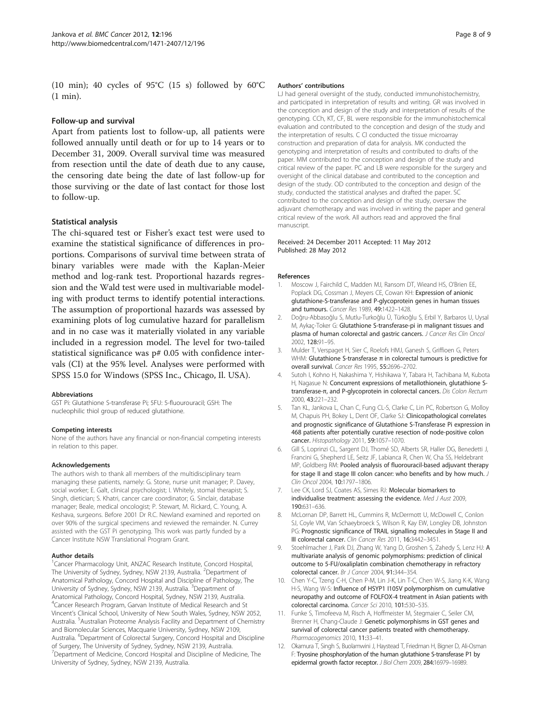<span id="page-7-0"></span>(10 min); 40 cycles of  $95^{\circ}$ C (15 s) followed by  $60^{\circ}$ C (1 min).

#### Follow-up and survival

Apart from patients lost to follow-up, all patients were followed annually until death or for up to 14 years or to December 31, 2009. Overall survival time was measured from resection until the date of death due to any cause, the censoring date being the date of last follow-up for those surviving or the date of last contact for those lost to follow-up.

## Statistical analysis

The chi-squared test or Fisher's exact test were used to examine the statistical significance of differences in proportions. Comparisons of survival time between strata of binary variables were made with the Kaplan-Meier method and log-rank test. Proportional hazards regression and the Wald test were used in multivariable modeling with product terms to identify potential interactions. The assumption of proportional hazards was assessed by examining plots of log cumulative hazard for parallelism and in no case was it materially violated in any variable included in a regression model. The level for two-tailed statistical significance was p# 0.05 with confidence intervals (CI) at the 95% level. Analyses were performed with SPSS 15.0 for Windows (SPSS Inc., Chicago, Il. USA).

#### Abbreviations

GST Pi: Glutathione S-transferase Pi; 5FU: 5-fluourouracil; GSH: The nucleophilic thiol group of reduced glutathione.

#### Competing interests

None of the authors have any financial or non-financial competing interests in relation to this paper.

#### Acknowledgements

The authors wish to thank all members of the multidisciplinary team managing these patients, namely: G. Stone, nurse unit manager; P. Davey, social worker; E. Galt, clinical psychologist; I. Whitely, stomal therapist; S. Singh, dietician; S. Khatri, cancer care coordinator; G. Sinclair, database manager; Beale, medical oncologist; P. Stewart, M. Rickard, C. Young, A. Keshava, surgeons. Before 2001 Dr R.C. Newland examined and reported on over 90% of the surgical specimens and reviewed the remainder. N. Currey assisted with the GST Pi genotyping. This work was partly funded by a Cancer Institute NSW Translational Program Grant.

#### Author details

<sup>1</sup> Cancer Pharmacology Unit, ANZAC Research Institute, Concord Hospital, The University of Sydney, Sydney, NSW 2139, Australia. <sup>2</sup>Department of Anatomical Pathology, Concord Hospital and Discipline of Pathology, The University of Sydney, Sydney, NSW 2139, Australia. <sup>3</sup>Department of Anatomical Pathology, Concord Hospital, Sydney, NSW 2139, Australia. <sup>4</sup> Cancer Research Program, Garvan Institute of Medical Research and St Vincent's Clinical School, University of New South Wales, Sydney, NSW 2052, Australia. <sup>5</sup>Australian Proteome Analysis Facility and Department of Chemistry and Biomolecular Sciences, Macquarie University, Sydney, NSW 2109, Australia. <sup>6</sup>Department of Colorectal Surgery, Concord Hospital and Discipline of Surgery, The University of Sydney, Sydney, NSW 2139, Australia. <sup>7</sup>Department of Medicine, Concord Hospital and Discipline of Medicine, The University of Sydney, Sydney, NSW 2139, Australia.

#### Authors' contributions

LJ had general oversight of the study, conducted immunohistochemistry, and participated in interpretation of results and writing. GR was involved in the conception and design of the study and interpretation of results of the genotyping. CCh, KT, CF, BL were responsible for the immunohistochemical evaluation and contributed to the conception and design of the study and the interpretation of results. C Cl conducted the tissue microarray construction and preparation of data for analysis. MK conducted the genotyping and interpretation of results and contributed to drafts of the paper. MM contributed to the conception and design of the study and critical review of the paper. PC and LB were responsible for the surgery and oversight of the clinical database and contributed to the conception and design of the study. OD contributed to the conception and design of the study, conducted the statistical analyses and drafted the paper. SC contributed to the conception and design of the study, oversaw the adjuvant chemotherapy and was involved in writing the paper and general critical review of the work. All authors read and approved the final manuscript.

#### Received: 24 December 2011 Accepted: 11 May 2012 Published: 28 May 2012

#### References

- 1. Moscow J, Fairchild C, Madden MJ, Ransom DT, Wieand HS, O'Brien EE, Poplack DG, Cossman J, Meyers CE, Cowan KH: Expression of anionic glutathione-S-transferase and P-glycoprotein genes in human tissues and tumours. Cancer Res 1989, 49:1422–1428.
- 2. Doğru-Abbasoğlu S, Mutlu-Turkoğlu Ü, Türkoğlu S, Erbil Y, Barbaros U, Uysal M, Aykaç-Toker G: Glutathione S-transferase-pi in malignant tissues and plasma of human colorectal and gastric cancers. J Cancer Res Clin Oncol 2002, 128:91–95.
- 3. Mulder T, Verspaget H, Sier C, Roelofs HMJ, Ganesh S, Griffioen G, Peters WHM: Glutathione S-transferase  $π$  in colorectal tumours is predictive for overall survival. Cancer Res 1995, 55:2696–2702.
- 4. Sutoh I, Kohno H, Nakashima Y, Hishikawa Y, Tabara H, Tachibana M, Kubota H, Nagasue N: Concurrent expressions of metallothionein, glutathione Stransferase-π, and P-glycoprotein in colorectal cancers. Dis Colon Rectum 2000, 43:221–232.
- 5. Tan KL, Jankova L, Chan C, Fung CL-S, Clarke C, Lin PC, Robertson G, Molloy M, Chapuis PH, Bokey L, Dent OF, Clarke SJ: Clinicopathological correlates and prognostic significance of Glutathione S-Transferase Pi expression in 468 patients after potentially curative resection of node-positive colon cancer. Histopathology 2011, 59:1057–1070.
- 6. Gill S, Loprinzi CL, Sargent DJ, Thomé SD, Alberts SR, Haller DG, Benedetti J, Francini G, Shepherd LE, Seitz JF, Labianca R, Chen W, Cha SS, Heldebrant MP, Goldberg RM: Pooled analysis of fluorouracil-based adjuvant therapy for stage II and stage III colon cancer: who benefits and by how much. J Clin Oncol 2004, 10:1797–1806.
- 7. Lee CK, Lord SJ, Coates AS, Simes RJ: Molecular biomarkers to individualise treatment: assessing the evidence. Med J Aust 2009, 190:631–636.
- 8. McLornan DP, Barrett HL, Cummins R, McDermott U, McDowell C, Conlon SJ, Coyle VM, Van Schaeybroeck S, Wilson R, Kay EW, Longley DB, Johnston PG: Prognostic significance of TRAIL signalling molecules in Stage II and III colorectal cancer. Clin Cancer Res 2011, 16:3442–3451.
- 9. Stoehlmacher J, Park DJ, Zhang W, Yang D, Groshen S, Zahedy S, Lenz HJ: A multivariate analysis of genomic polymorphisms: prediction of clinical outcome to 5-FU/oxaliplatin combination chemotherapy in refractory colorectal cancer. Br J Cancer 2004, 91:344–354.
- 10. Chen Y-C, Tzeng C-H, Chen P-M, Lin J-K, Lin T-C, Chen W-S, Jiang K-K, Wang H-S, Wang W-S: Influence of HSYP1 I105V polymorphism on cumulative neuropathy and outcome of FOLFOX-4 treatment in Asian patients with colorectal carcinoma. Cancer Sci 2010, 101:530–535.
- 11. Funke S, Timofeeva M, Risch A, Hoffmeister M, Stegmaier C, Seiler CM, Brenner H, Chang-Claude J: Genetic polymorphisms in GST genes and survival of colorectal cancer patients treated with chemotherapy. Pharmacogenomics 2010, 11:33–41.
- 12. Okamura T, Singh S, Buolamwini J, Haystead T, Friedman H, Bigner D, Ali-Osman F: Tryosine phosphorylation of the human glutathione S-transferase P1 by epidermal growth factor receptor. J Biol Chem 2009, 284:16979–16989.